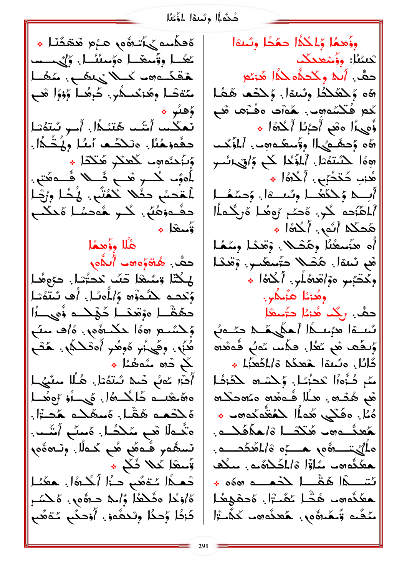دُخُه أِل وِنَىكَ الْمُنْكَل

هُ هَدَّمَتْ مَهْمٍ مِهْمٍ مَنْ مَعْمَّقَالَ \* حْكُمَا وِوَّْمُعْقَمَا هَوِّمْنُنُمَا. وَّالْكَمْسَمَد لَّــــةَ مَـــدَ "مَــدَ ــــةَ مَــدَ سَمَّـــةَ مَــدَّةٍ مَنْوَصْا وِهُنَّكَسِكُو. كَرِهُما وُوَوُا هَبِ ۇھلۇ ھ ثَمكُت أَمَّت هَتَنْدُا. أَسِ تُبتَهْدَا حفُّوزِهُلُل. وتَنْكُـْهَا أَمِثُلُ وِيُخُذُلُ. وَبَنَدَوْهِ لَا مَثْلُو مُنْكُمْ \* لَمَاهَ مِنْ كُلّْسٍ فَيَسْكُلْ فَسَمَعَتَهِ . أَحْدَسُهِ دَثَلاً لَكُمْتُمٍ. هُـٰدًا وِرُضًا حڤُـەزمُلّم. كُــر ۿُەحسُــا ەُحكّىــم وَّمْعَظُلْ ﴾ هُلًا ووُههُا حقٌّ. هُقَوِّهِ وه أَنفُور لِحُنَّا وَسُهْا دَيْ عَجَّدَا. حَرَّوهُا وَكِّدِدِ لِأَنْفُوْهِ وَٱلْمُوَسَّلِ. أَهِ يُنْتَوُسَا حَفَقْـا هَوْتَعْـْـا خَهْـْــه ؤُمِيــأَا وَكْتُسْعَ هَهُمْ حَكْمَةٌ مِنْ هُمْ مِنْعَ هُنِّي. وِهَي ُنُو هُوهُو أَهْتَـٰكُمْي. هُتْبَع َکُمْ ثَـْ« مُفْصُ*نُ*ا ﴾ أَحْزَا عَهنُ حْـدا سُنَّهُ1ْ. هُـلًا مِسْهُـلٍ ەھقىسە خالخىغا. ئېسۇم ئومگىل ەْكْتْمْتْ ھُقْبَانْ ەْسْھَكْتْ ھُدْتْلْ: ەتْحالَا ھَے مَكْحُـا. ەَمنَّے أَمَنَّـب. لْسَفُّەرِ فُـەھُمْ ھُـمِ كَـەلَّا. وِلْــ6ەەُر وَّسطا كَلا فُكُمْ \* دْهِـدًا عُـٰٓةَهُـنٍ دـَٰٓا أَكْـدَّهَا. حَقَّصًا هُ/وَكُلْ هِ شُكْعُلْ وُۗامِدْ حَدُّهُ وَ. هَ كَسَّـرٍ كَرْدًا وُحِدًا وِلَـْحَقُّوفِ. أُوْحَكُم عُـٰقَقُىم

وؤهمًا وُلِمُكُمَّا حَمَّجًا وِتَبِيقَا |تَعْبُبُل: وَوُّسْعَدِكُمْ ا حفٌ. أَبِيهِ وكُحِدُّه جَدًّا هَٰزِعُو هُه وُلْمَلَائُا وِنُبِيْهَا. وُلِكْتُم هُمَا كُمْ قُلْمُتُمُوبَ. هُمْ مَ مَقْرَبَ مَنْ وَّى الْمَكْلُ الْجَامَ الْمَحْدَّةُ الْمَحْدَّةُ هُه وُحِشُّهُ الْمُؤْمِنَ وَقُصِيلًا وَقُصْحَةً مِنْ الْمُؤَكِّبَ هِهُا كِنْسَهُمْا. ٱلمُؤْكَّلُ كُمْ وَٱقْ ِرَسُو هُنبِ كُتْكُرُبِ. أَكْدُهُ أَ \* أبط وَحْكَمُكُ وسُبِّدَا. وَحِمَّمُكُ ٱلْمَنَّحِم كُلْرٍ. هُجِمْ رُوهُما هُرِيْكُماًا |مَحْكُمْ أَنُو بِ أَخْذُا ﴾ أَه منُسمُنًا وِمُصْلًا. وْمَعْدًا وِمُعُا هْمِ سُهْلَ. هُصْلاً حَتَّسفُسِ. وْقَدْلَ وِكْتَبُو ەَوْاقْدْهُلُو. أَكْدُّا ﴾ وهُناءُ هُنگُونَ حقٍّ. رِبُّكَ هُزْمًا حَزْمُهَا سُدة مُهْرِمُهُ أَمْدِيْهِ أَعْلَيْهِ وُلِقُم هُم مُعُلٍّ. فَلَمْتَ مُمْ قُوْمُهُ دَّائل وسُنةا هَعكُمْ ةَالمَّعْدَلُ \* مِّر حُزُّواْل كَحِزُمُا. وَكَسْرِهِ كَخَرْجُا هُم هُدُه. هلًا فُءهُده مَهْدَه ەُمُّا. ەقتى ھُماُا خۇشەكدەت \* هُعِنْــهِ مِنْ ذَكْتَــا هُ/هِكْكَــهِ . . مكفَّة لماءً مبْسِع مِنْ مُسْتَرَاكُم هعَذُه هم مُبْلَوْا وْالْمَحْدَةُ مِ مِنْكُفْ ئتسساً هَقْسا لِحْمِسِهِ 30% \* هعَذُه و هُتْه عَمْتْل وَحَفِهِعَا مَكَسِهِ وَّمَعْمَدُوهِ مِنْ مَعَدَّدِهِ مَكَلَّمَةِ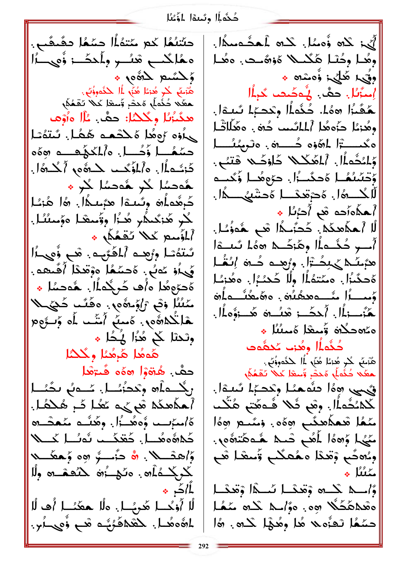حُجُّه إِلَّا وِنُبِيهِۚ [ لِأَمْثَل

حنّتنُهُا كَع مَتَدُلًا حمّهُا حقّتُب . معُالَكَبِ هَنُسِرٍ وِلَمَحَصَّۃٍ وُّصِيَّاْ وَ كَسَّمَع كَلَّهُم ﴾ ﴾<br>هُنَّهُ كُو هُنَا هُنَّه لَمَا كَثَمووُنٍّ.<br>حَقَلا حُدَّماً وَ مَدَّم وَ سَعْلَ مَلا يَقْعُكُمْ. هدَّىُرُىٰل و كَلِّكْلُ: حَقَّ كَال هُوُهَ حدُوْه رُوهُا هَ حَدْهــه هَهُـا. تَىتَمُّـْـا حمّمُ أو دُ أَما دَهُمُ هِ مَ وَهُ وَ كَنْتُـه اُل. ه ٱلمُؤْكَّـب بِــْـرْهُ مِ ٱلْحُـْرَةُ الْمِ هُوصُل كُر هُوصُل كُر \* كَرِهُداُهَ وِتَسِدًا هِرُسِدًا. هَٰا هُزْسًا ِكُمْ هَٰٓئِكُنَّكُمْ هُـُٰٓأُ وِقُمِعْنَا هَوۡمَسُلًا. أَلْمَؤْمِيعِ كَمَلاً تَقْمُكُمْ \* لَّىتَهُمْا وِرُهِده ٱلْمَعَّىدِ. هَــم وَّهيداُ يُهاُوْ عُهبُ . هُحمُعُمُ هُوْتَعَدًا أُهُبِعِهِ . ەُدَوْهِكْلُ وأُفْ خُرِيْكُمالْ. جُـْمَصْلُ \* مَعْنُنُا وَثَمِ ۚ رَاوَٰٓ ۖ وَهُ مَعْنَدٍ حَدَيْهِ ۖ لَا هَاتُكُمْهُوب. هُمْنَعَ أَنْثُمْتُ أَوْ وَسَوَّوْهِ وتحقا كم هُنُا هُـُدًا \* هُوهُا هُرِهُمُا وكُلْمًا حفٌ. هُتَوْرًا 30َه هُـُتِوْدا رِكْــهِلُمْ وِتْحَدُّنُــا. كَــهِبُ بِحَيْــا ، مَكْمَعِنَدْ مَنْ مَنْ مَعْدَمَهُمْ . ة/ممِّرْسَى وُهِ هُــزًّا. وِهُنَّــهِ مَعْصَـــهِ كَلاۋەھُــا. كَعْكَــب نُەنُــا كَـــلا وَاهِدْ لا فَي حَزْبٌ وَهِ وَحْفَظِ لْكُمْ كِنْكُمْ أَنْ مَنْ يَا مُتَحَمَّدٌ وَلَا يألف \* لًا أُوْحُـــا هُوبُـــا. ولًا حفَّـُــا أُف لًا لمَوْهِ مِنْ الْمَحْمَدِينَ مِنْ الْمَحْمَدِينَ الْمَحْمَدِينَ مِنْ الْمَحْمَدِينَ مِنْ الْمَحْمَدِين

أَيْ: ݣُلُو وْدْمُلْ. ݣُلُو لْمَشْرَبْ. لْمَسْتَقْتُ مَسْلَالْ. وهُما وحُبْلِ هَكْمِيكَ هُوْرَهُ حِبٍّ وهُما أوقيها هُلِي: وَّهشة م إِسْتَمَالِ حَقٍّ. فُوَضَّحِبْ كَرِمُّا هَقَبْرُا هِهُا. حُذْهِ أَلْ وِتَحِيَّا تُبِيَّا. وهُزْمًا حَزْدَهُا ٱلْمَائِيبِ جُرْفَ. دَهَٰلْكُنَا هَكَمَــــــٓءُ الْهُوَهِ حُــــــهُ. هِنْمِهُنُــــا وَلِمُحُمِلًا. ٱلمَّكْلا حَاوَحُــلا قَتْبَ. وِّتْسُلُّمَـٰ أَهْجَمَـٰٓ; ۖ حَرَّوهُـٰٓ أَوْكُنــه لَّاحْـــوَا. هَدَقِدْـــا هُدشْنِيْـــدًا. أَلْحَكُواُدُهُ قُمْ أُدْبُلًا \* لًا أَحكُمحكَمَ. حُحَبَكُم هُي حُوبُكِ. أُسِــو حُكْــه|أ وِهَٰزَهُـــه 5% نُســة| هبُسَّكُ كَبِيكُمْ أَنْ وَرُهِــهِ كُــفَ إِنْشَا ەْھكْبَرْا . مېڭتۇرا قار كىچىدا . مەدنىل وُمسأل مُسوهدهُ لهُ و و هُ مِعْلُسُولُونَ هَزْسِيزِياْلِ أَحِجَسِيْ هْنُسِيْهِ هَسْيَوْهِ أَلِ ەئەدلاۋ ۋىيغا ەييلىًا \* حُذُه أُل وهُزب مُحقَّدت هُّنَبٌ كُرِ هُنَا هُنَّى لَمَا كَثَمَوؤُبٍّ .<br>هَقَلا دُخُمَلٌ هَجَدٍ وَّسِعْا كَلا تَقْسُلُ فَيْحِي هِهُا حِثْمَعْنَا وِبْحَجَا نُبِيهَا. كْلِمُنْحُمْلًا. وِهْمِ ثَلا فُـعفَتْمِ هُنُـْـب مَّمُّا شَعَكَهَنَّم وَهُو. وَمُنْهَ وَهُ مَّيُّ\ وَهُمَّا أَهُمْ شَـْمْ هُـُمَّتَشُورٍ. وِءُهكُم وْقَدْا مِعُمَكْمٍ وُّسِعْدا قْبِ مَثَلُلُ ﴾ وًاكم كُلُّه وْتَعِنْدا سُلُّوا وْتَعِنْدا ەقىممكە ئەر، مۇلىم كى ئىم حسَّمُا تَعْزُهِ لا فَا وهُدْلِ كُلُّهِ وَا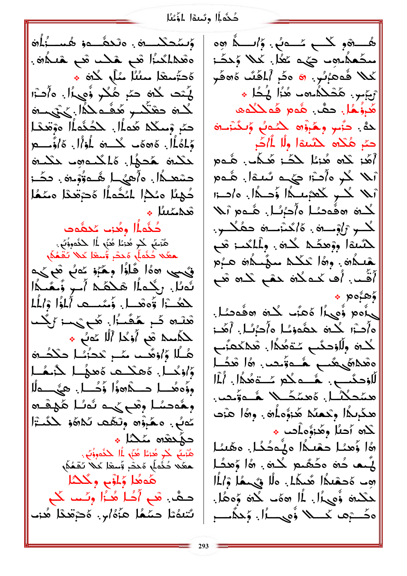حُخُوبًٰا وِيُبِهْلِ الْجُمْرَ

ۇيىئچكىنىڭ ، ەتىھْنىمۇ بۇسىنۇ ەقىدالمُدُّا قىم ھىلى قىم ھىدۇن . ەَحَتَّمىغَا مىللا مەل كەن ج لَهُتِ لَاهِ حَمْ هُكُو وُّی ُاْ. هأَصَرَا كُنْ حَقْتُكُمْ هُفُوهُ مُكْتُلُهُ بِمَحْرَبَهُمْ مِنْ حمّ وَسكُمْ هُماً!. حَكُثُماً! هُوَتَعَدَّا وَٰٓاهُ أَا ۚ. هَ هَمَد لَکْسِهَ لَمُوۡرَٰٓا ۚ. هَاوَ مَسْعِر حلّكته حَجَهَلَ. هَا كُموها حكمته حتمحكمل وأهيى طهُووُمِهِ حَصَّة حُمْلًا مِنْكُمْ الْمُحْمَلًا مُحْتِقِدًا مِنْهُا ەدىمىنىلاھ حُذُه أَلَّ وهُزم مُحَدَّده هَّبَتِّ لَكُرٍ هُنَّكَ لَا الكَفْوِؤُبِّ.<br>مِعَكَّدَ حُثَمَلٍّ وَحَدٍ وَسَعْلِ كَلَّا تَقْمُكَنِّ فيحرك وعفر فتقوم المحافى الهجريني لَّەئا. رِكْدەا ھَكْھَكْ أُسِرٍ وَّىصَّكْلَ لِكَعُنْزَا وُّوقْعِياً. وُّمَّسِيعًا أَيَاؤُا وْٱلْمَا هْلُـه دَمٍ هَقَــزًا. هَــمِ يَـمـز رَبُّــمــد للأمعط شع أَوْحُل أَلَّا حَصُّ \* هُــُلّا وُ/وَهُــــــ ممّـــم تَحدُّنُـــا حكْحُـــوه وَاوْحُمَا. هُھڭىمە هُمْمُسا لِأَزْلَهُمْ ا وؤُهِ مُصَاحِبُ هُووُا وَجُصَابِ هِيُنَ وَالْمُسْوَالِ ومفهم النامش مستربش بالشمفه عْهِ). مَعْبَوْه وِتَتَّفَفَ نَكْلَهُوَ لِلْكُتْرَا دكُبخته مُكْلُ \* هُنۡبٌ كُرِ هُنَا هُنَّ لَٰٓا كَـٰفُوؤُبِّ.<br>مِعَلا دُخُفِّ وَحَدٌ وَّسِعْا كَلا تَقْمُمُّ هُوهُا وُلَوْمٍ وكُلْمًا حتّْ. قب أَحُـا هُـزًا وِنَّــب كُـح ىُّنىەُۦٓا حسِّعُا ھزَەُ/ر. ەَحْبِقْحْا هُـزى

هُـــوْهِ كُلّـــوكُنْ وَاسِــدْ وَهِ سكَمكُسُوب حيِّد مِنْ مَلَّا. مُلَّل وَحَكَّ: كَلا فُەھزُىُر. ۞ ەكْر ٱلمَّفُّد ەُھفَر ْ رَجِّىبِ. هُتَـۡـٰٰهُـدہ ے هُٰٓا ۖ لَٰٓـِـٰٓكُمْ ﴾ هُرزُهُا. حقَّ، هُوم فَوكَدُوهِ هةً. حزَّمِ وِهُبِوْنٌ كُلَّمَاتٍ وَإِنْكُتْرَمِينَ حِبْ هُكْلُ حَسَّدًا ولَّا لِمَّاجُمِ أَهُدْ لَاهِ هُدْمًا لِمَكْهْ هُلُمُكٌ. هُـهِ آبلا لُكْرِ هِأَمْـَارُ فَهُــهِ سُبْـةَا. هُــهِ أملا كُمْسٍ كَعْثَمِسْكًا وَّحْكًا. 20حة لْحَدَهُ هَقُومُـٰا هَأُحَزُّـٰاً. هُـُومْ آيلا ىڭىر ژاۋىسەن ، كاڭدانسەن ھەككىر. لِمَسْتَدَا وَوَهِكُمْ لَهُ وَالْمُسْتَدَوِّي وَالْمُسَنَّسُ وَهُمْ ا هَنكُاهَ. وهُ أَ تَمَكُّكُمْ مَنكُمْ هَءُهِ أقب. أق كمكة هم كمه قم  $\left\| \widetilde{\mathcal{E}}_{\mathbf{z}}(\mathbf{z}) \right\|_{\mathbf{z}}$ يأەم ۋەيدًا ەَھنَى لَكْمَ مَوْھَدَىلَ. ه ُصْرْر لِحْدَة حَقَّدَوْسًا ه ُحَرِّسًا. أَهَٰــٰ: ِكْ†ُهِ وِلَلْوَحِكَبِ عُـٰٓةَهُٰذُا). شَدْكُعَنَّب لَلْوَحِكَبِ . هُـــو كُم حُـــة هُكَلْ الْمَلَا ھئىچىكىل ، ەھئىچىلا ھُے قُبْضٍ. هكربدًا وتحملا هُزوُه أهو. وهُ هرْت هُا وَهِنَا حِقْبُهُ وَيُوَجُدًا. وَهَنَنَا لَمْتَ دُهُ وَدُهُنَهِ لَكُنَّهُ ﴾ وَا وَهَدُا 90 كَحْمَدُا مُحَمِّدً. وَلَا فَيَحْمَلُ وَ} لمكلمة ومعادل المستقط المروثي وأمكنه ەكسىرھە ئىسىلا ۋەپپىسال. ۇىدگىسىر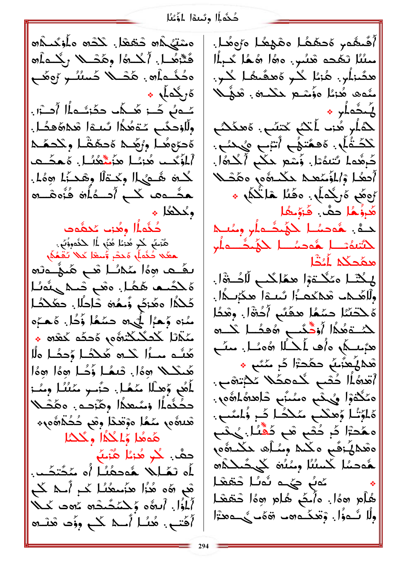حُخْهَ إِلَّا وِنُبِيهَا لِمَؤْيُنُا

ەشتپكە ئىقتىل ئىخىم مأزئىىگە فَثّْبَعُما. أَكْتُهُا وِهَٰتَىلاً رَبُّدْهُ هُ ەكْشەلمە . ھَشىلا كىىللىر ۇەھىم ەرگەگى \* صَّحبُ کُے هُـــدًا صَحَبْتُــملًا أَصــْٓ1. وِلَّاوْحِكُبِ عُـٰٓةَهُٰٰهُۢا نُـُىـٰٓةَا هُٰٰهَاهُفَـٰا . هُحرُهِ هُــا ورُهُـــه هُحهُقْــا وكَحمَــه أَلْمَؤْكَــبِ هُدَيْـا مِنَ مُّهْنُـاً. هُـمَــُـبِّ بدؤم لمنحفى لأضكى الررْصفُ محك هضُــه، كُـــم أُصــهُ أَنه فُنُههَـــه وحُكْظًا ﴾ كُنُّه لَٰهُ وهُنِ مُحَقَّدَت هَّبَتِّ كُرِ هُنَّا هُنَّىٰ لَمَا كَخُووُنِّىَ.<br>حَقَلا حُدَّمَلِّى هَجَدَ وَسَعْلَ عَلا تَقْعُلَى ىكَــم ھِەُلَــمَــمْـُــل ھَــمِ هَـمَهْــمِـدَه مَحْصَــم عَمَـا. هُمْ مَــمْكُمْ كَـٰٓدُا مَعۡزَٰبٌ وۡمَعۡ صَاحَلاً . حَعَّـٰدَكُـا مُنوَهُ وَجَعَةٍ لَيْ إِلَى اللَّهِ مِنْهُمْ وَذَالَ وَجَعَةٍ سَّكْكَلُّ كَحَكْكُنْدُهُ وَحَدَّدٍ حَقْدَهُ ﴾ هُنُـه مــرًا كَــــرَّه هُــحْصًــا وُحصًــا ولَّا هَىكُمْ رَوهُ!. تَعمُّا وَّكُمْ رَوهُ! رَوهُ! لَمُعْ وَهِـلًا مَعْمَـلَ. حَنْبٍ مَعْنُـٰلَ وِمْـٰ; ححُدُه أل وَمُنعَدُا وهُوْدِهِ . وهُنْصَلا مْدەُە مَمْا ەوْتْدْا وقى دُدُلَّاۋە . هُوهُا وُلمُكُمَّا وِكُكْمَا حفٌّ. كُمْ هُزْمًا هُزْمَعٌ ـلُه تمّـالله ـمُوحفُنْـا أو مَكْتَخَـب. قو ھُو ھُزُا ھزَىعِھُنَا كَمِ أَسِمْ كَلِ ٱلْمَوَّا. ٱلثَّاه وَحْسَّصَّصَه ءُهِ كَتَلَا أَفَتَــبٍ. هُنُــا أَســط كَلّـبٍ وِؤُد هَنْـــرَه أَقَىڤُەر ەُحھّھُا ەھْھِعُا ەَرُەھُا. مىلُلُا تْݣُدُه قْلُبْ وْ وْݣَالْ هُـْمَا كْـرِيْاْ ھكَىزلُر. ھُزىُا كُر ەَھكَىھُا كُـر. مُئُومٍ هُزْمًا وَوُسْعِ حَكْسَرَةٍ . تَعَوُّلًا بُمْشُەلُم \* َكْمَلُو هُ: مُآتَكَمٍ كَتْسُعٍ. هُعْكَكَم تْكَـتُمْلُمْ. ەُھقَتْنُى أَنْتَمِــعْ مُكْتَبُمْ. كَرِهُوما سُّنفُتا. وُسْع حكْمٍ أَكْدَةًا. أُحعُل وْالمُؤْسِّعِيم حَكْسِرْهُمٍ وصَّصْلا رْكَعُمْ وَكُمْلًا وَهُلًا هَاتُكُمْ \* هُروُهُا حقٌّ. فَوَصْحُا حدةً. هُوجسًا حَوْجَدُومُ وسُلِيم حَتَّتَمَدَّلِ هُوَدَسُلٍ حَجَّجَدُ وَلَٰٓعٍ مفحكم أنْثًا لِحُتْما مَكْتَوْا هِمَاحُبِ لَّاكُـِ ةَا. ولْلصَّحْبِ شَجْكُحِجُلْ تَبْتِدْلِ هِجْتِجُلْ. هَ لأَحْتَمُا حَمَّـمًا مَـٰفَتَٰعٍ أَكُرْةًا. وِمْدَٰا لئنقعُدُا أَوَقَّمَّبَ هُومُــا تَمْــهِ هزَمِننَكُمْ وأَفْ الْمَحْلَلَا هُوسُاً. مِنْنَم هَدْلُهُنَّبِ حَمَّدْ ۚ أَ مِّ مِّنَّبٍ ٱتّْدَهُمُّا دُمْسِ گُدْمَكُمْ كَلَاتِيْهُ بِ. ەڭگەۋا پىگىم ەمئىئىم ئىلھەئەلمەئەر. ەْلِقْتْ وَهِنْكَمْ مَكْشَا شَرْ فُلْمُنْسَى. مِمَّحَۃًا کُہٖ دُمَّے ہُمَّ دُمَّنًا. کُہُنَّہ ەھْكمۇنۇھى ەڭىكە بِسُماھە بْكْسەۋەپ هُدَسُل كَسْنُلْ وِسُنُةَ كَجِيشُكُمْهِ لَّهُ مَنْ صَرْحَ بِهُ مَنْ الْمَسْمَدِ هُأَمْ هِءُا. ه/ُـمُّ هُام هِءُا دْعْعْدا وِلَا ئَـدوُّا. وْتَعَكَّـدەم قَوَّمَـ يُـحمَّرْا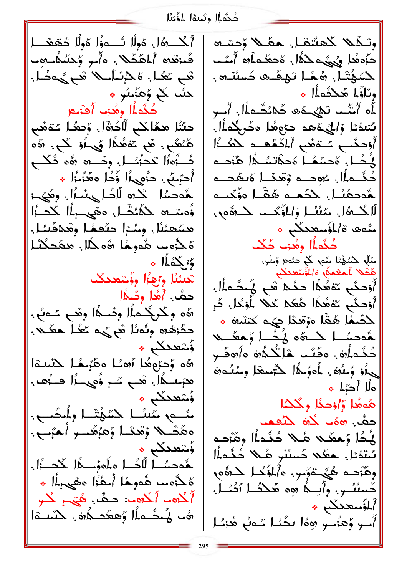حُجُّه إِلَّا وِنُبِيهِۚ [ لِأَمْثَل

أَكْـــِدَهُ لِ وَجَالًا شَـــوزًا وَوَلًا خَفَعْهَـــا قُىزْتُدە ٱلمَّكَلا. ەٱس ۆكسُلەت م شم تمحُل: هَكْبُمُكُمْ شَمْ يَحْمَلُ: هَمْ يَحْمَلُ: ْ هَنُّ گُمْ وُهَ مُشَرِّ مُ دُخُولُمْ وهُن أُهْنُوم حَتْنًا مَمَّاحُم لَّاحُرَّةًا. وِّحَمَّا عُدَهُم هَنْعَبٍ. مَع تفعُدُا يَ أَمِنُو لَكِنَ وَهُوَ صُـٰٓؤُهُۥۢا ۡدَحَٰٓرُۢكُـا وِصْـهِ ۞هُو فُكُـــمِ أَحَبُبُ : حَزَّى أَلْهِ وَقَدْ اللَّهِ مِنْ أَحْدَثُوا ﴾ هُوَدِيْهِ , الْمَسْرِرِ الْمَالِ هِ مَنْ الْمُوْهَى ؤْهِشِيهِ لِلْمُنْشَارِ. هِڤَيْسِراُلْ كَحِبَّار همّشهمْنُا. ومُدْرًا حلّفهُا وهْلاَفْتِدَا. ەْݣەپ ھُەمِعْل ھُەكلل. ھەھكىلا وُوَيْكُمْ أَلْهُ مِنْ الْمُسْتَوَجَّعَةِ مِنْ الْمُؤْمِنَةِ مِنْ الْمُؤْمَنِينَ مِنْ الْمُؤْمِنَةِ تعللا وزهوا ووتمعنك حفٌ. أَهُا وضُلًا! هُه وِكْرِيْكُمْ! وِثَىــدًا وِثْنَــعُـهِ ـُــمْنٍ. حكْمَه مِنْمَا شَيْءٍ مِنْكُمْ حَقَّلَهِ مِنْ ۇشعىكىي ھ هُه وُحرُوهُا أهمُا مِهْبِعُا حَسَّدَا متبسكاً. قب سُبِ وُي أَلْمَ يَكُونَ ۆشىدىكىي ھ منْـــــم، منسئــــا مكثوَّتْـــا ولُمكْـــــى. ەھَصْـــلا ۋقىقـــا ۋھۇھُــــو أَــمَّىـــى. وَمْعَدَكَمْ \* هُوجِيداً لَّاجُبا ولَمُورَّسِيدًا لِّكْحِيزًا. هُ لأومد هُوهُا أَمعُوُّا وهَي أَل أَكْلُهَ وَأَكْلُهُ : حَقٌّ : هُيْمٍ كُمْ ھُ۔ نُحشُـماُ! وُهھُدےُهُ: حصَّـدُا

وتسكَّلا للعشَفْل. هفْلا وُحِسْبُهِ حَدُّهِ هَذَا الْمُكْمَرِ مِنْ الْمُكْمَنَ الْمُحَمَّدِ مِنْ الْمُحَمَّدِ لْكَتُكُونُنَا. هُلْمَا تَكْلُفُتُ كُسْتُلُهُ. <mark>ا</mark>وِنَاؤُ لمَكْثُماً ﴾ [ لَمَاه أَسَّب نَكِيءٌ هَ خَكْنُشُـماً!. أَسو سَّنفُتا وْالْمْكِمَّعْه حَرَّهِ هَٰذَا وَخَرِيْكُمْاً. أُوْحِكُبِ ۖ سَّةَهُبِ ٱلْمُكْتَفَ ۖ لَأَنْفُسُ لَلْمُنْ أَوْ لْمُصْلَ. هَحْمَعْصَلْ هَحِمْتَسُـدُّا هُزْجَــد كُنْــماًا. مُەجــە وْقْنْــا ەْتْھَجــە هُوحِمُنُـا. حَجَمَــو هُقْـا وَزُّحُــو لَّاكْتُوا. مَنْشَا وْالْمُكْتَبْ كَنْوُو، مْدَه دْْلْمُوْمَعْلِكْمْ \* دُخُه أَا وِهُـٰهَٰٮ دُكْمًا مبُلُّ كَمَنُوْتَا مُتَّى كُلِّ حَتَّەمْ وَمِنُو.<br>هَضْلا مُاهْتَعَمَّلْ وَالتَّصَّطَحُكُثَرِ أَوْحكُم تَفَعُدُا حكْمْ شَم نُحِثَـٰهِ أَا. أُوْحِكُم عُوْهُدًا هُعَدَ عَلا لَمْعُدَ رَمِ لحَصُمُا هَقْا هُوَتَعَدَّا كَهُمْ كُتَنْبُغْ ﴾ هُوصِيُمِ الْمَدْوَّةِ وَيُحُمِّلُ وَجَعَفَـــلا كُنُّمَلُّهَ. هفَنَّم هَلَّنُّكُمُهَ هُ/هفَّ لِيهُوْ وُسِيُنْ فِي أَدْوُسُمَا لِمُتَنْسِيْنَا وِسُبُدْنَ اهلا أحدًا \* |هَمعُدا وَ/وَحدًا وحُكمًا | حقٍّ. «هُ لاَهُ للنَّهم لَيْحُل وَحِعَيْدِ هُلا حُنُّمَلُّا وِعَبْدِهِ ئىتەْتا. ھقد كىسُبُر ھُـلا كُـدُّەلُمْ وهُوَده هُيُحدَوِّسِ. هُ الْمُؤْكُما لَحَدَّهِ و كَسْلُبْ وِأَبِيءُ وَهِ هَٰلِكُمْ أَكْسًا. أَلْمُؤْسِعْدَكُم \* |أسر وٌهنُسر وها لحُمُا مُـهرُ هُنمُـا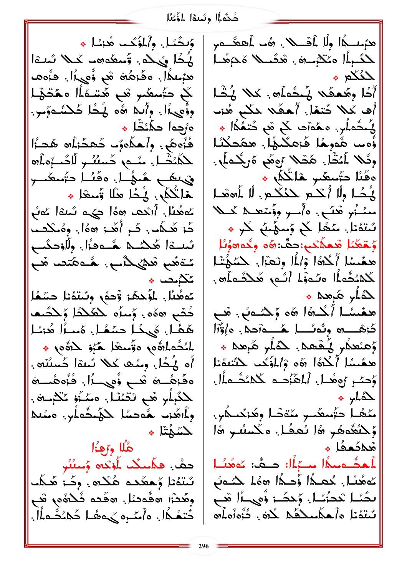حُدُّه أَا وِتَىفَا لِمَذْكُل

وۡىدَّـُـٰـا وۡ اۡلوَّكَــٰبِ هُـٰٓ;َـٰـا ﴾ لَهُدًا وَيُحِكُمْ. وَمُعَظَّمَ مِنْ كَمِنَ الْمُلَةُ هبَّىكاً. وفَرْهُنْ ثَمِ زُوبِدًا. فَرُوم كُمْ حَتَّمْمَعُسْ هُمْ هُنْسُمُلًا مَعَّحْشَاً، وِفْعِيدًا. وِأَلمَدْ هُو هُكُمْ كَحْشُوَمُو. هرُجِما حكَمُتْنَا \* فُزْوِهَمْ. وأَحِكُووُب حُمِجَٰزَاْهِ هَجِزَا للْمُنْشَا. مُنْمَى كُسْسُرِ لَّاكُتْ وَاْهُ هَا تُكُمُّ . هُـطُ هُلَا وَّسعْلَ \* عُوهُمًا. أَاتَكَ وَوْا كَيْءَ سُنَةًا عَوْمُ كَزْ هُكُمُ . كَمْ أُهُنْ 30\$. وهُكْصُ سَّدةا هَكْدِ هُـودُا. وِلْلوْحِكْب ئـةهُم هُدُلِي لِمَسْءٍ. هُـه هُتمت هُـم ئڭلىمىس ھ عَەهُدًا. لمُؤْحِظَ: تْرَحَمُ وِتَىتَوْتا حِيَّىمًا دُثْمٍ 500. وُسِلُّه لِمَكْلُمَا وُلِكْتِفَا هَهُا. هَيْخًا حَمَّعُا. هَمَا هُزَا هُنَّا لْمُشْمَلَاةُ مِنْ وَتُسْعَدُ هُرُوْ لِلْأُوْمِ \* أَه لَمُحَلٌّ. ومُدَّى كَلُّلُ تُتَمَا حُسَنُتُمْ . ەقزمۇس ئىس ۋەپ ئۇل. قۇەمئىسىغ لْخَذِبَكُمْ هُمْ تَتَمَّتْدَا. مَمَّنُوْ كَلَّامِيهَ. وِلْمَعْنِفِ هُوَجِسًا ۖ حَكَمْحُومَٰنِ ۖ وَمِنُعَمَّاتِ حْمَجْتَا \* هُلَّا وِرِّهِۥؙ حقّْ. فَكَامِكْتْ لِمُؤْكِّدَة وُمِثْلُو تُتَهْتَا وُحْقَدْه هُكْلُهَ. وَكُنْ هَٰكُمْت وِهُدْ; وهُدَدُا. وهُده ثُلاڤُور ڤُبِ حَتمُكُا. •أَمَنَّـرِهِ حَمِيدَاً وَالْمُحْسَوَاً.

هِبۡمِـــٰٰہٗا وِلَا ۖ أَفَـــٰلا ۖ. هُــ أَهفُـــٰمَہِ لْمُنْبِمُ امْتَكْبِرِينَ هُدَّسَلًا مُحَبِّعُهِ ا لملكع \* أَحُل وهُمفَد بُعدُماُهِ. كَلا يُخْا أَفْ كُلًّا دُّتْقَلَ أَحْقَلَهُ لَحَكُمْ هُذَا لَهُمْشُمْلُو. مَعَّدْت كُمْ شَوْ شُعْدًا ﴾ ؤْهِ هُومُ الْأَوْهَدُومُ الْمُحَكَّمُ وِثُلا لَمُنْتَا. هُصْلاً وُوهُم هُرِيْكُمْلُو. ەقَتْا دَتَمىغىر ھَانْكُلَّى م لْمُحُـا وِلَا أَحْــم حَكْكـم . لَا ـأَهِمْـا مىنْسْئُو ھْكَ). ەڭمىر وۆشھىكە كىللا سُتَەْتا. مَىْھَا خَى وَسَيْسَى خُر م وَحْعَدًا شَعَدُتَنِي:حَقَّ:6ه وِنُدَهوُلًا همَّسُا أَحْدُا وَٱلْمَا وِتَعْزَا. حَمَّوْتْنَا لْكَمْنُشُماً أَمَنُوهُمْ أَنُسْمٍ هَٰلِكُسْمَاهِ . لِحْمَلُهِ هَبِعِدَ \* همُسُلِ ٱلْحُدَةُ أَهُ وَحُصُوبُ. قُب وَعنُعدَهُ وَيَـٰقَعِهِ. حَقَلُو هَٰبِعدَ \* همَّسُا أَحْدُهُ! هُء وْالمُؤْكَّبِ حَتَّنْبُدُنَا وَحِسْرِ رُوهُــا. ٱلمْكَرَّحــو كَلائِحْــولَمال. حة اب مَعْمًا حَتَّىهَمْبِ مَتَّوْصًا وِهُنَّكَتّْهُرٍ. ۇڭئۇمۇر ھا ئېغا. ەڭسىر ھا أقحككم فا لْمَدَّـٰهِـبِمُا مِـبِّمُا: حَـِمَّٰ: عَمْنُـا غَفْشًا. يُعِيدًا وَّحِيدًا هَءُ! يَحْدُبُ ىكْسًا تْحَزّْسًا. وِّحْكَـٰ; فُعِيداً شَع سَّنْهُ مَا مِهْمَمْحَدَّهُ مَّلَاهُ بِهُ مُؤَوَّاهِ مُ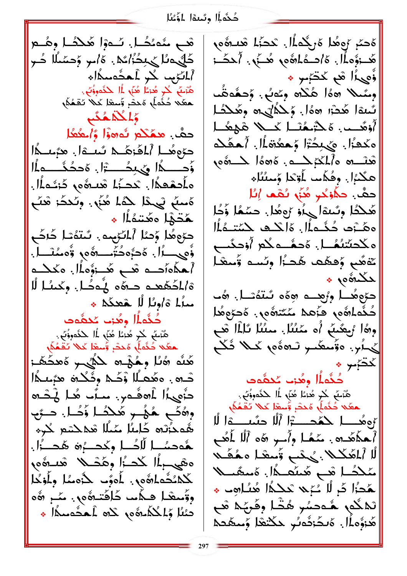حُجُّه إِلَّا وِنُبِيهِۚ [ لِأَمْثَل

هَم مُعْدُلٍ. يُعوْلُ هُكْشًا وهُــــــــمْ كَايُحالِكْمِيَاهُ . 1⁄4 وَحِسَّلًا حَـو اْمْلَكِّى لَكُو مُاْھشَەمدان هُّنۡتُمۡ كُلِ هُنَاۢ هُنَّىٰ لَٰٰۤا كُنُّهُۥوَوٰۡٓتَ ٖ.<br>حَقَلا حُذُّمَلَٰہٖ هَدَتُہٖ وَّسَعْل حَلا تَقَحُكَٰٖہ وَالْمَدْهُدُ ۖ حقٍّ. محكَّكُم نُه هوْ أوٌ المحُمَّا حوَوهُما أَلمَفْزِهُم سُبْدًا. مؤسساً ذَهِـــــدُا فِي بِدُـــــــۃ! . هَحكُـدُــــماُ! مأتفعكا. تحتبًا هْتْشُمْ ثَنْتُمَال. ەْسەّ ئېڭا خەلم ھُنّى. وِنْحَدّْ: ھَنَّے ِّ هَٰتَـٰهُا مَعْتَـٰمُاْ \* حوِّهِ هَٰذَا عَلَّى الْكُلِّمِينَ مِنْتَمْشَا خُرَجَى .<br>وَّى اللَّهِ وَحَدَّوهُ مَّةً مِنْ قَوْمِ مُنْ اللَّهِ مِنْ الْمَدَّوَّةِ مِنْ الْمَدَّو أهكَمأدَده شَبِ هَٰبِ;وَمَأَلَ مَكَكَنِهِ ة/لمُكْهَده حـرهُ م هُـوحُــل. وكَعنُــل لَٰلا مبرًا وْأُوبُا لَا هْتِكُمْ \* كُثُماُ أوهُن، كَنفُوت هَّبَتِّ لَكُرٍ هُن<sup>َيْل</sup> هُنَّهُ لَمَّا لَكَمُوو*ُنِّيَّ.*<br>مَعَكَّلا حُثَّمَلِّ مُحَدِّ وَسَعْلِ كَلا تَقْمُكَن هَنُّه هُلَا وِهُهُـه لِمَلْابِ هَمْحُكُمْ; تَــه . هَعُعَـلَا وْكَــدْ وِثْكُــهْ هرُمْــدًا دَّى الله علَّم . بِمَــُه مَا لَهْــُــهِ وِهُضَّع هُهُــو هُـٰذُــا وَّدُــا. حــوَّى هُمدَٰٓئِتُه خَامِبُا مَمْلًا مْدَىٰدَ بِرْءِ هُوحِسُط لَّاحُط وحُحِصرُه هُجِسَرًا. وهيسبأا كمصوا وهُصْلاً هُدوُّه، وتُسعْدا هــكَمب حُلفَتــوهُ و. مَبْ وَهُ و حْنُا وَۦْالْكَلَّمْتُومِ ۚ كَلَّاهُ الْمُحَْدِسِيْنَ ﴾ [

ەَحَبْر وْهِمَا ەْرِيْدْمَالْ. تْدْخَىل شْنْدەن هُــزَوْماًا. هَ/صـهُلَّوُّه هُــزٌو. أَحصَّـز أؤهراً هم كظَّمِرٍ \* وِسُمْلًا 160 هُلُدُه وِحَدْبٌ. وَحِمْدَتُمْت ئىڭ كېچىز ھۇل كېڭ ھەركىگى أُوْهَــب فَ حَبَّىهُنْــل كَـــلا هْجِعُــل مكفَّعاً. الْمَعْصُمُ وَاتَّكْبِرَهُ . أَعْكُمُ هَنْـــه (الْمُكْمِـكْــهِ بِ هَهُ الْكَــكُمْ) هَكْبُراً. وِهُكَس لَمُقِيْداً وِّسْتُنَاه حفٌ، حكَّوْكُمْ هُنَّ تُشْفُ إِثَارَ هَٰٓدُدًا وِئَىكَ الْمَذْوَ رُوهُا. حَمَّمُا وَّحًا ەھَنْد خُشْماًا. ەَلىكى جِمْئتىماًا ەڭدىشلىشىل. ەدىئىسى ئىلام آزدىئىس تَفَعَّم وَقَعَّفَ هَدَّا وِنَسَفَ وَّسَعْدَ  $|2 \times 10^6$ دۆەھلى وۇھىم ھۆە ئىتۇشىل. ھى كُذْمَاهُمِ حَزْهِمْ مُمِّتْهُمِ. هُحرِّهِهُمْ وِهَٰا رُبِعَۡنَٰٓ أَه مِّنُنَا ۚ. مَنُنَا نَآاً قَب ى أبن وتو مستكسو تى دەۋە بى كىلما ئىك ݣݗݖݕ دُنُه/ا وهُزم مُدهَّه و هَّتِبُ كُرِ هُنَّا هُنَّى لَمَّا كَدُووُنِّ.<br>مِعَكِّدٍ حُدَّماً وَحَدَّرٍ وَجَدِهَا كَلا تَقْمُكَي أَهْلَائِكُ: مَنْهُمْ وَأَسِرٍ ۞هِ أَلَّا لَمَٰنِي للكففاء ومكرض بالكفارأ المستفدين سُلْحُـا مْبِ مُسَّمِـدًا. هُسِعَّبِــلا هَجُرْا جُرِ لَا يُجْهِ تَحِكْمَا هُنُاهِبَ \* تَمْتُمْ هُءَدَسُرٍ هُتْتَا وِفَنِّهُ شَم هُزَوْهِ أَلْ. ەُنْخَرْخُوبُر بْمَكْتْعْلِ وُسْتَفْتَطْ